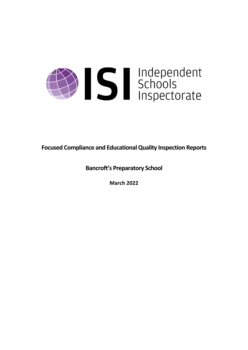

**Focused Compliance and EducationalQuality Inspection Reports**

**Bancroft's Preparatory School**

**March 2022**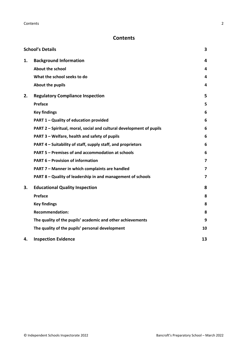# **Contents**

|    | <b>School's Details</b>                                              | 3                       |
|----|----------------------------------------------------------------------|-------------------------|
| 1. | <b>Background Information</b>                                        | 4                       |
|    | <b>About the school</b>                                              | 4                       |
|    | What the school seeks to do                                          | 4                       |
|    | About the pupils                                                     | 4                       |
| 2. | <b>Regulatory Compliance Inspection</b>                              | 5                       |
|    | Preface                                                              | 5                       |
|    | <b>Key findings</b>                                                  | 6                       |
|    | PART 1 - Quality of education provided                               | 6                       |
|    | PART 2 - Spiritual, moral, social and cultural development of pupils | 6                       |
|    | PART 3 - Welfare, health and safety of pupils                        | 6                       |
|    | PART 4 – Suitability of staff, supply staff, and proprietors         | 6                       |
|    | PART 5 - Premises of and accommodation at schools                    | 6                       |
|    | <b>PART 6 - Provision of information</b>                             | $\overline{\mathbf{z}}$ |
|    | PART 7 - Manner in which complaints are handled                      | 7                       |
|    | PART 8 - Quality of leadership in and management of schools          | $\overline{\mathbf{z}}$ |
| 3. | <b>Educational Quality Inspection</b>                                | 8                       |
|    | Preface                                                              | 8                       |
|    | <b>Key findings</b>                                                  | 8                       |
|    | <b>Recommendation:</b>                                               | 8                       |
|    | The quality of the pupils' academic and other achievements           | 9                       |
|    | The quality of the pupils' personal development                      | 10                      |
| 4. | <b>Inspection Evidence</b>                                           | 13                      |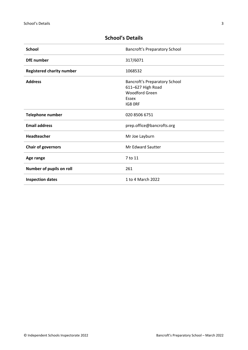| <b>School</b>                    | <b>Bancroft's Preparatory School</b>                                                            |
|----------------------------------|-------------------------------------------------------------------------------------------------|
| <b>DfE</b> number                | 317/6071                                                                                        |
| <b>Registered charity number</b> | 1068532                                                                                         |
| <b>Address</b>                   | Bancroft's Preparatory School<br>611-627 High Road<br><b>Woodford Green</b><br>Essex<br>IG8 ORF |
| <b>Telephone number</b>          | 020 8506 6751                                                                                   |
| <b>Email address</b>             | prep.office@bancrofts.org                                                                       |
| Headteacher                      | Mr Joe Layburn                                                                                  |
| <b>Chair of governors</b>        | <b>Mr Edward Sautter</b>                                                                        |
| Age range                        | 7 to 11                                                                                         |
| Number of pupils on roll         | 261                                                                                             |
| <b>Inspection dates</b>          | 1 to 4 March 2022                                                                               |

# <span id="page-2-0"></span>**School's Details**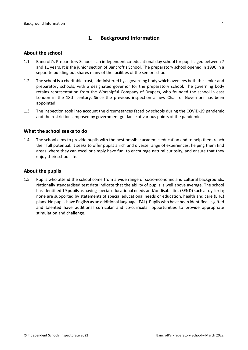# <span id="page-3-0"></span>**1. Background Information**

#### <span id="page-3-1"></span>**About the school**

- 1.1 Bancroft's Preparatory School is an independent co-educational day school for pupils aged between 7 and 11 years. It is the junior section of Bancroft's School. The preparatory school opened in 1990 in a separate building but shares many of the facilities of the senior school.
- 1.2 The school is a charitable trust, administered by a governing body which oversees both the senior and preparatory schools, with a designated governor for the preparatory school. The governing body retains representation from the Worshipful Company of Drapers, who founded the school in east London in the 18th century. Since the previous inspection a new Chair of Governors has been appointed.
- 1.3 The inspection took into account the circumstances faced by schools during the COVID-19 pandemic and the restrictions imposed by government guidance at various points of the pandemic.

### <span id="page-3-2"></span>**What the school seeks to do**

1.4 The school aims to provide pupils with the best possible academic education and to help them reach their full potential. It seeks to offer pupils a rich and diverse range of experiences, helping them find areas where they can excel or simply have fun, to encourage natural curiosity, and ensure that they enjoy their school life.

# <span id="page-3-3"></span>**About the pupils**

1.5 Pupils who attend the school come from a wide range of socio-economic and cultural backgrounds. Nationally standardised test data indicate that the ability of pupils is well above average. The school has identified 19 pupils as having special educational needs and/or disabilities (SEND) such as dyslexia; none are supported by statements of special educational needs or education, health and care (EHC) plans. No pupils have English as an additional language (EAL). Pupils who have been identified as gifted and talented have additional curricular and co-curricular opportunities to provide appropriate stimulation and challenge.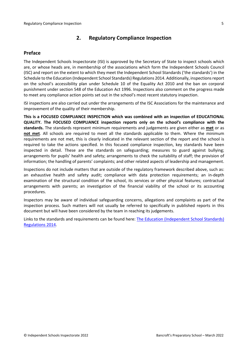# <span id="page-4-0"></span>**2. Regulatory Compliance Inspection**

# <span id="page-4-1"></span>**Preface**

The Independent Schools Inspectorate (ISI) is approved by the Secretary of State to inspect schools which are, or whose heads are, in membership of the associations which form the Independent Schools Council (ISC) and report on the extent to which they meet the Independent School Standards ('the standards') in the Schedule to the Education (Independent School Standards) Regulations 2014. Additionally, inspectionsreport on the school's accessibility plan under Schedule 10 of the Equality Act 2010 and the ban on corporal punishment under section 548 of the Education Act 1996. Inspections also comment on the progress made to meet any compliance action points set out in the school's most recent statutory inspection.

ISI inspections are also carried out under the arrangements of the ISC Associations for the maintenance and improvement of the quality of their membership.

**This is a FOCUSED COMPLIANCE INSPECTION which was combined with an inspection of EDUCATIONAL QUALITY. The FOCUSED COMPLIANCE inspection reports only on the school's compliance with the standards.** The standards represent minimum requirements and judgements are given either as **met** or as **not met**. All schools are required to meet all the standards applicable to them. Where the minimum requirements are not met, this is clearly indicated in the relevant section of the report and the school is required to take the actions specified. In this focused compliance inspection, key standards have been inspected in detail. These are the standards on safeguarding; measures to guard against bullying; arrangements for pupils' health and safety; arrangements to check the suitability of staff; the provision of information; the handling of parents' complaints; and other related aspects of leadership and management.

Inspections do not include matters that are outside of the regulatory framework described above, such as: an exhaustive health and safety audit; compliance with data protection requirements; an in-depth examination of the structural condition of the school, its services or other physical features; contractual arrangements with parents; an investigation of the financial viability of the school or its accounting procedures.

Inspectors may be aware of individual safeguarding concerns, allegations and complaints as part of the inspection process. Such matters will not usually be referred to specifically in published reports in this document but will have been considered by the team in reaching its judgements.

Links to the standards and requirements can be found here: The Education [\(Independent](http://www.legislation.gov.uk/uksi/2014/3283/contents/made) School Standards) [Regulations](http://www.legislation.gov.uk/uksi/2014/3283/contents/made) 2014.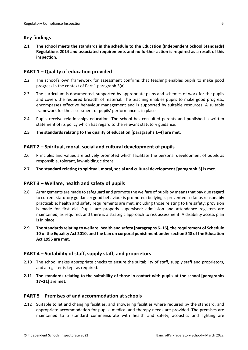# <span id="page-5-0"></span>**Key findings**

**2.1 The school meets the standards in the schedule to the Education (Independent School Standards) Regulations 2014 and associated requirements and no further action is required as a result of this inspection.**

# <span id="page-5-1"></span>**PART 1 – Quality of education provided**

- 2.2 The school's own framework for assessment confirms that teaching enables pupils to make good progress in the context of Part 1 paragraph 3(a).
- 2.3 The curriculum is documented, supported by appropriate plans and schemes of work for the pupils and covers the required breadth of material. The teaching enables pupils to make good progress, encompasses effective behaviour management and is supported by suitable resources. A suitable framework for the assessment of pupils' performance is in place.
- 2.4 Pupils receive relationships education. The school has consulted parents and published a written statement of its policy which has regard to the relevant statutory guidance.
- **2.5 The standards relating to the quality of education [paragraphs 1–4] are met.**

# <span id="page-5-2"></span>**PART 2 – Spiritual, moral, social and cultural development of pupils**

- 2.6 Principles and values are actively promoted which facilitate the personal development of pupils as responsible, tolerant, law-abiding citizens.
- **2.7 The standard relating to spiritual, moral, social and cultural development [paragraph 5] is met.**

# <span id="page-5-3"></span>**PART 3 – Welfare, health and safety of pupils**

- 2.8 Arrangements are made to safeguard and promote the welfare of pupils by means that pay due regard to current statutory guidance; good behaviour is promoted; bullying is prevented so far as reasonably practicable; health and safety requirements are met, including those relating to fire safety; provision is made for first aid. Pupils are properly supervised; admission and attendance registers are maintained, as required, and there is a strategic approach to risk assessment. A disability access plan is in place.
- **2.9 The standardsrelating to welfare, health and safety [paragraphs 6–16], the requirement of Schedule 10 of the Equality Act 2010, and the ban on corporal punishment undersection 548 of the Education Act 1996 are met.**

# <span id="page-5-4"></span>**PART 4 – Suitability of staff, supply staff, and proprietors**

- 2.10 The school makes appropriate checks to ensure the suitability of staff, supply staff and proprietors, and a register is kept as required.
- **2.11 The standards relating to the suitability of those in contact with pupils at the school [paragraphs 17–21] are met.**

# <span id="page-5-5"></span>**PART 5 – Premises of and accommodation at schools**

2.12 Suitable toilet and changing facilities, and showering facilities where required by the standard, and appropriate accommodation for pupils' medical and therapy needs are provided. The premises are maintained to a standard commensurate with health and safety; acoustics and lighting are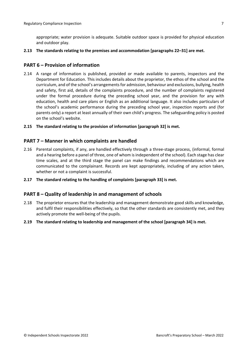appropriate; water provision is adequate. Suitable outdoor space is provided for physical education and outdoor play.

#### **2.13 The standards relating to the premises and accommodation [paragraphs 22–31] are met.**

### <span id="page-6-0"></span>**PART 6 – Provision of information**

- 2.14 A range of information is published, provided or made available to parents, inspectors and the Department for Education. This includes details about the proprietor, the ethos of the school and the curriculum, and of the school's arrangementsfor admission, behaviour and exclusions, bullying, health and safety, first aid, details of the complaints procedure, and the number of complaints registered under the formal procedure during the preceding school year, and the provision for any with education, health and care plans or English as an additional language. It also includes particulars of the school's academic performance during the preceding school year, inspection reports and (for parents only) a report at least annually of their own child's progress. The safeguarding policy is posted on the school's website.
- **2.15 The standard relating to the provision of information [paragraph 32] is met.**

#### <span id="page-6-1"></span>**PART 7 – Manner in which complaints are handled**

- 2.16 Parental complaints, if any, are handled effectively through a three-stage process, (informal, formal and a hearing before a panel of three, one of whom isindependent of the school). Each stage has clear time scales, and at the third stage the panel can make findings and recommendations which are communicated to the complainant. Records are kept appropriately, including of any action taken, whether or not a complaint is successful.
- **2.17 The standard relating to the handling of complaints [paragraph 33] is met.**

#### <span id="page-6-2"></span>**PART 8 – Quality of leadership in and management of schools**

- 2.18 The proprietor ensures that the leadership and management demonstrate good skills and knowledge, and fulfil their responsibilities effectively, so that the other standards are consistently met, and they actively promote the well-being of the pupils.
- **2.19 The standard relating to leadership and management of the school [paragraph 34] is met.**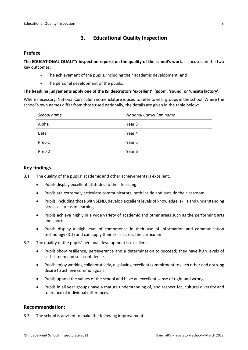# <span id="page-7-0"></span>**3. Educational Quality Inspection**

### <span id="page-7-1"></span>**Preface**

**The EDUCATIONAL QUALITY inspection reports on the quality of the school's work**. It focuses on the two key outcomes:

- The achievement of the pupils, including their academic development, and
- The personal development of the pupils.

#### **The headline judgements apply one of the ISI descriptors 'excellent', 'good', 'sound' or 'unsatisfactory'.**

Where necessary, National Curriculum nomenclature is used to refer to year groups in the school. Where the school's own names differ from those used nationally, the details are given in the table below:

| School name | <b>National Curriculum name</b> |
|-------------|---------------------------------|
| Alpha       | Year 3                          |
| <b>Beta</b> | Year 4                          |
| Prep 1      | Year 5                          |
| Prep 2      | Year 6                          |

### <span id="page-7-2"></span>**Key findings**

- 3.1 The quality of the pupils' academic and other achievements is excellent.
	- Pupils display excellent attitudes to their learning.
	- Pupils are extremely articulate communicators, both inside and outside the classroom.
	- Pupils, including those with SEND, develop excellent levels of knowledge, skills and understanding across all areas of learning.
	- Pupils achieve highly in a wide variety of academic and other areas such as the performing arts and sport.
	- Pupils display a high level of competence in their use of information and communication technology (ICT) and can apply their skills across the curriculum.
- 3.2 The quality of the pupils' personal development is excellent.
	- Pupils show resilience, perseverance and a determination to succeed; they have high levels of self-esteem and self-confidence.
	- Pupils enjoy working collaboratively, displaying excellent commitment to each other and a strong desire to achieve common goals.
	- Pupils uphold the values of the school and have an excellent sense of right and wrong.
	- Pupils in all year groups have a mature understanding of, and respect for, cultural diversity and tolerance of individual differences.

### <span id="page-7-3"></span>**Recommendation:**

3.3 The school is advised to make the following improvement.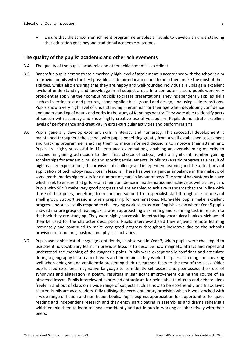Ensure that the school's enrichment programme enables all pupils to develop an understanding that education goes beyond traditional academic outcomes.

### <span id="page-8-0"></span>**The quality of the pupils' academic and other achievements**

- 3.4 The quality of the pupils' academic and other achievements is excellent.
- 3.5 Bancroft's pupils demonstrate a markedly high level of attainment in accordance with the school's aim to provide pupils with the best possible academic education, and to help them make the most of their abilities, whilst also ensuring that they are happy and well-rounded individuals. Pupils gain excellent levels of understanding and knowledge in all subject areas. In a computer lesson, pupils were very proficient at applying their computing skills to create presentations. They independently applied skills such as inserting text and pictures, changing slide background and design, and using slide transitions. Pupils show a very high level of understanding in grammar for their age when developing confidence and understanding of nouns and verbsin the study of Kennings poetry. They were able to identify parts of speech with accuracy and show highly creative use of vocabulary. Pupils demonstrate excellent levels of performance and creativity in extra-curricular activities and performing arts.
- 3.6 Pupils generally develop excellent skills in literacy and numeracy. This successful development is maintained throughout the school, with pupils benefiting greatly from a well-established assessment and tracking programme, enabling them to make informed decisions to improve their attainment. Pupils are highly successful in 11+ entrance examinations, enabling an overwhelming majority to succeed in gaining admission to their first choice of school, with a significant number gaining scholarships for academic, music and sporting achievements. Pupils make rapid progress as a result of high teacher expectations, the provision of challenge and independent learning and the utilisation and application of technology resources in lessons. There has been a gender imbalance in the makeup of some mathematics higher sets for a number of years in favour of boys. The school has systems in place which seek to ensure that girls retain their confidence in mathematics and achieve as well as they can. Pupils with SEND make very good progress and are enabled to achieve standards that are in line with those of their peers, benefiting from enriched support from specialist staff through one-to-one and small group support sessions when preparing for examinations. More-able pupils make excellent progress and successfully respond to challenging work, such as in an English lesson where Year 5 pupils showed mature grasp of reading skills when approaching a skimming and scanning task in relation to the book they are studying. They were highly successful in extracting vocabulary banks which would then be used for the character description. Pupils interviewed said they enjoyed remote learning immensely and continued to make very good progress throughout lockdown due to the school's provision of academic, pastoral and physical activities.
- 3.7 Pupils use sophisticated language confidently, as observed in Year 3, when pupils were challenged to use scientific vocabulary learnt in previous lessons to describe how magnets, attract and repel and understood the meaning of the magnetic poles. Pupils were exceptionally confident and articulate during a geography lesson about rivers and mountains. They worked in pairs, listening and speaking well when doing so and confidently presenting their researched facts to the rest of the class. Older pupils used excellent imaginative language to confidently self-assess and peer-assess their use of synonyms and alliteration in poetry, resulting in significant improvement during the course of an observed lesson. Pupils interviewed expressed enthusiasm for being able to discuss and debate ideas freely in and out of class on a wide range of subjects such as how to be eco-friendly and Black Lives Matter. Pupils are avid readers, fully utilising the excellent library provision which is well stocked with a wide range of fiction and non-fiction books. Pupils express appreciation for opportunities for quiet reading and independent research and they enjoy participating in assemblies and drama rehearsals which enable them to learn to speak confidently and act in public, working collaboratively with their peers.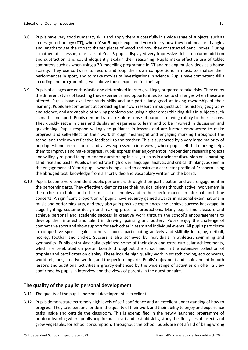- 3.8 Pupils have very good numeracy skills and apply them successfully in a wide range of subjects, such as in design technology (DT), where Year 5 pupils explained very clearly how they had measured angles and lengths to get the correct shaped pieces of wood and how they constructed pencil boxes. During a mathematics lesson, one class of Year 3 pupils displayed very impressive skills in column addition and subtraction, and could eloquently explain their reasoning. Pupils make effective use of tablet computers such as when using a 3D modelling programme in DT and making music videos as a house activity. They use software to record and loop their own compositions in music to analyse their performances in sport, and to make movies of investigations in science. Pupils have competent skills in coding and programming, well above those expected for their age.
- 3.9 Pupils of all ages are enthusiastic and determined learners, willingly prepared to take risks. They enjoy the different styles of teaching they experience and opportunities to rise to challenges when these are offered. Pupils have excellent study skills and are particularly good at taking ownership of their learning. Pupils are competent at conducting their own research in subjects such as history, geography and science, and are capable of solving problems and using higher order thinking skills in subjects such as maths and sport. Pupils demonstrate a resolute sense of purpose, moving calmly to their lessons. They quickly settle in class and display an eagerness to learn and to be involved in discussion and questioning. Pupils respond willingly to guidance in lessons and are further empowered to make progress and self-reflect on their work through meaningful and engaging marking throughout the school and their own reflective feedback to the teacher. This is supported by a very large majority of pupil questionnaire responses and views expressed in interviews, where pupils felt that marking helps them to improve and make progress. Pupils express their enjoyment of independent research projects and willingly respond to open-ended questioning in class, such as in a science discussion on separating sand, rice and pasta. Pupils demonstrate high order language, analysis and critical thinking, as seen in the engagement of Year 4 pupils when being asked to construct a character profile of Prospero using the abridged text, knowledge from a short video and vocabulary written on the board.
- 3.10 Pupils become very confident public performers through their participation and avid engagement in the performing arts. They effectively demonstrate their musical talents through active involvement in the orchestra, choirs, and other musical ensembles and in their performances in informal lunchtime concerts. A significant proportion of pupils have recently gained awards in national examinations in music and performing arts, and they also gain positive experiences and achieve success backstage, in stage lighting, costume design and making props for productions. Many pupils find pleasure and achieve personal and academic success in creative work through the school's encouragement to develop their interest and talent in drawing, painting and pottery. Pupils enjoy the challenge of competitive sport and show support for each other in team and individual events. All pupils participate in competitive sports against others schools, participating actively and skilfully in rugby, netball, hockey, football and cricket. Success is also achieved by individuals in athletics, swimming and gymnastics. Pupils enthusiastically explained some of their class and extra-curricular achievements, which are celebrated on poster boards throughout the school and in the extensive collection of trophies and certificates on display. These include high quality work in scratch coding, eco concerns, world religions, creative writing and the performing arts. Pupils' enjoyment and achievement in both lessons and additional activities is greatly enhanced by the wide range of activities on offer, a view confirmed by pupils in interview and the views of parents in the questionnaire.

# <span id="page-9-0"></span>**The quality of the pupils' personal development**

- 3.11 The quality of the pupils' personal development is excellent.
- 3.12 Pupils demonstrate extremely high levels of self-confidence and an excellent understanding of how to progress. They take personal pride in the quality of their work and their ability to enjoy and experience tasks inside and outside the classroom. This is exemplified in the newly launched programme of outdoor learning where pupils acquire bush craft and first aid skills, study the life cycles of insects and grow vegetables for school consumption. Throughout the school, pupils are not afraid of being wrong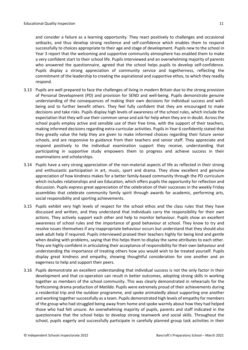and consider a failure as a learning opportunity. They react positively to challenges and occasional setbacks, and thus develop strong resilience and self-confidence which enables them to respond successfully to choices appropriate to their age and stage of development. Pupils new to the school in Year 3 report that the welcoming and supportive community atmosphere has enabled them to make a very confident start to their school life. Pupils interviewed and an overwhelming majority of parents who answered the questionnaire, agreed that the school helps pupils to develop self-confidence. Pupils display a strong appreciation of community service and togetherness, reflecting the commitment of the leadership to creating the aspirational and supportive ethos, to which they readily respond.

- 3.13 Pupils are well prepared to face the challenges of living in modern Britain due to the strong provision of Personal Development (PD) and provision for SEND and well-being. Pupils demonstrate genuine understanding of the consequences of making their own decisions for individual success and wellbeing and to further benefit others. They feel fully confident that they are encouraged to make decisions and take risks. Pupils display high levels of awareness of the school rules, which include the expectation that they will use their common sense and ask for help when they are in doubt. Across the school pupils employ active and sensible use of their free time, with the support of their teachers, making informed decisions regarding extra-curricular activities. Pupils in Year 6 confidently stated that they greatly value the help they are given to make informed choices regarding their future senior schools, and are responsive to guidance from their teachers and senior staff. They appreciate and respond positively to the individual examination support they receive, understanding that participating in supportive study empowers them to progress and achieve success in their examinations and scholarships.
- 3.14 Pupils have a very strong appreciation of the non-material aspects of life as reflected in their strong and enthusiastic participation in art, music, sport and drama. They show excellent and genuine appreciation of how kindness makes for a better family-based community through the PD curriculum which includes relationships and sex Education, which offers pupils the opportunity for reflection and discussion. Pupils express great appreciation of the celebration of their successes in the weekly Friday assemblies that celebrate community family spirit through awards for academic, performing arts, social responsibility and sporting achievements.
- 3.15 Pupils exhibit very high levels of respect for the school ethos and the class rules that they have discussed and written, and they understand that individuals carry the responsibility for their own actions. They actively support each other and help to monitor behaviour. Pupils show an excellent awareness of school rules and the importance of good behaviour at school. They know to try and resolve issues themselves if any inappropriate behaviour occurs but understand that they should also seek adult help if required. Pupils interviewed praised their teachers highly for being kind and gentle when dealing with problems, saying that this helps them to display the same attributes to each other. They are highly confident in articulating their acceptance of responsibility for their own behaviour and understanding the importance of treating others how you would wish to be treated yourself. Pupils display great kindness and empathy, showing thoughtful consideration for one another and an eagerness to help and support their peers.
- 3.16 Pupils demonstrate an excellent understanding that individual success is not the only factor in their development and that co-operation can result in better outcomes, adopting strong skills in working together as members of the school community. This was clearly demonstrated in rehearsals for the forthcoming drama production of *Matilda*. Pupils were extremely proud of their achievements during a residential trip and the outdoor programme, and spoke animatedly about supporting one another and working together successfully as a team. Pupils demonstrated high levels of empathy for members of the group who had struggled being away from home and spoke warmly about how they had helped those who had felt unsure. An overwhelming majority of pupils, parents and staff indicated in the questionnaire that the school helps to develop strong teamwork and social skills. Throughout the school, pupils eagerly and successfully participate in carefully planned group task activities in their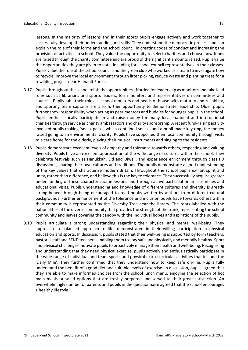lessons. In the majority of lessons and in their sports pupils engage actively and work together to successfully develop their understanding and skills. They understand the democratic process and can explain the role of their forms and the school council in creating codes of conduct and increasing the provision of activities in school. They value the opportunity to select charities and choose how funds are raised through the charity committee and are proud of the significant amounts raised. Pupils value the opportunities they are given to vote, including for school council representatives in their classes. Pupils value the role of the school council and the green club who worked as a team to investigate how to recycle, improve the local environment through litter picking, reduce waste and planting trees for a rewilding project near Hainault Forest.

- 3.17 Pupilsthroughout the school relish the opportunities afforded for leadership as monitors and take lead roles such as librarians and sports leaders, form monitors and representatives on committees and councils. Pupils fulfil their roles as school monitors and heads of house with maturity and reliability, and sporting team captains are also further opportunity to demonstrate leadership. Older pupils further show responsibility when acting as peer mentors and buddies for younger pupils in the school. Pupils enthusiastically participate in and raise money for many local, national and international charities through service as charity ambassadors and charity sponsorship. A recent fund-raising activity involved pupils making 'snack packs' which contained snacks and a pupil-made key ring, the money raised going to an environmental charity. Pupils have supported their local community through visits to a care home for the elderly, playing their musical instruments and singing to the residents.
- 3.18 Pupils demonstrate excellent levels of empathy and tolerance towards others, respecting and valuing diversity. Pupils have an excellent appreciation of the wide range of cultures within the school. They celebrate festivals such as Hanukkah, Eid and Diwali, and experience enrichment through class PD discussions, sharing their own cultures and traditions. The pupils demonstrate a good understanding of the key values that characterise modern Britain. Throughout the school pupils exhibit spirit and unity, rather than difference, and believe this is the key to tolerance. They successfully acquire greater understanding of these characteristics in lessons and through active participation in assemblies and educational visits. Pupils understanding and knowledge of different cultures and diversity is greatly strengthened through being encouraged to read books written by authors from different cultural backgrounds. Further enhancement of the tolerance and inclusion pupils have towards others within their community is represented by the Diversity Tree near the library. The roots labelled with the nationalities of the diverse community that provides the strength of the trunk, representing the school community and leaves covering the canopy with the individual hopes and aspirations of the pupils.
- 3.19 Pupils articulate a strong understanding regarding their physical and mental well-being. They appreciate a balanced approach to life, demonstrated in their willing participation in physical education and sports. In discussion, pupils stated that their well-being is supported by form teachers, pastoral staff and SEND teachers, enabling them to stay safe and physically and mentally healthy. Sport and physical challenges motivate pupilsto proactively manage their health and well-being. Recognising and understanding that they need physical exercise, pupils actively and enthusiastically participate in the wide range of individual and team sports and physical extra-curricular activities that include the 'Daily Mile'. They further confirmed that they understand how to keep safe on-line. Pupils fully understand the benefit of a good diet and suitable levels of exercise. In discussion, pupils agreed that they are able to make informed choices from the school lunch menu, enjoying the selection of hot main meals or salad options that are freshly prepared and served to their great satisfaction. An overwhelmingly number of parents and pupils in the questionnaire agreed that the school encourages a healthy lifestyle.